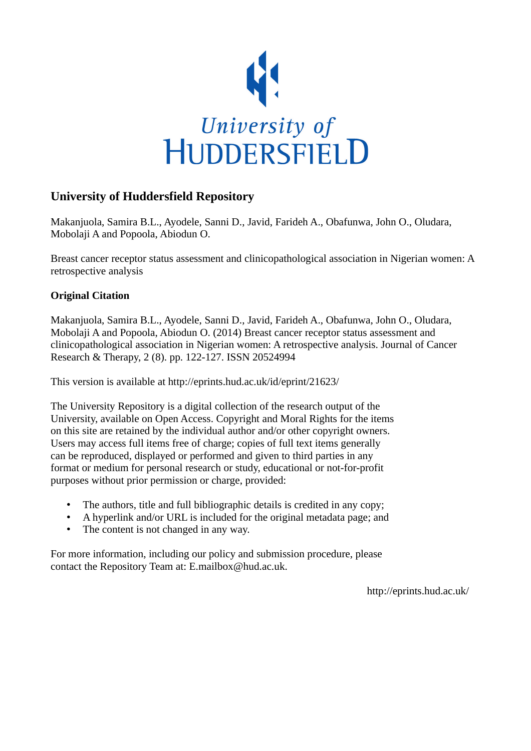

## **University of Huddersfield Repository**

Makanjuola, Samira B.L., Ayodele, Sanni D., Javid, Farideh A., Obafunwa, John O., Oludara, Mobolaji A and Popoola, Abiodun O.

Breast cancer receptor status assessment and clinicopathological association in Nigerian women: A retrospective analysis

## **Original Citation**

Makanjuola, Samira B.L., Ayodele, Sanni D., Javid, Farideh A., Obafunwa, John O., Oludara, Mobolaji A and Popoola, Abiodun O. (2014) Breast cancer receptor status assessment and clinicopathological association in Nigerian women: A retrospective analysis. Journal of Cancer Research & Therapy, 2 (8). pp. 122-127. ISSN 20524994

This version is available at http://eprints.hud.ac.uk/id/eprint/21623/

The University Repository is a digital collection of the research output of the University, available on Open Access. Copyright and Moral Rights for the items on this site are retained by the individual author and/or other copyright owners. Users may access full items free of charge; copies of full text items generally can be reproduced, displayed or performed and given to third parties in any format or medium for personal research or study, educational or not-for-profit purposes without prior permission or charge, provided:

- The authors, title and full bibliographic details is credited in any copy;
- A hyperlink and/or URL is included for the original metadata page; and
- The content is not changed in any way.

For more information, including our policy and submission procedure, please contact the Repository Team at: E.mailbox@hud.ac.uk.

http://eprints.hud.ac.uk/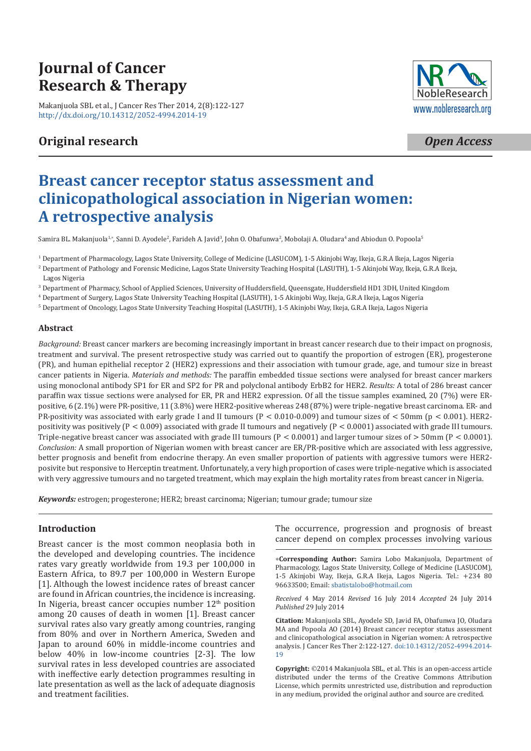# **Journal of Cancer Research & Therapy**

[Makanjuola SBL et al., J Cancer Res Ther 2014, 2\(8](http://dx.doi.org/10.14312/2052-4994.2014-19)):122-127 http://dx.doi.org/10.14312/2052-4994.2014-19

# **Original research**



*Open Access*

# **Breast cancer receptor status assessment and clinicopathological association in Nigerian women: A retrospective analysis**

Samira BL. Makanjuola $^{1,*}$ , Sanni D. Ayodele<sup>2</sup>, Farideh A. Javid $^3$ , John O. Obafunwa $^2$ , Mobolaji A. Oludara $^4$  and Abiodun O. Popoola $^5$ 

1 Department of Pharmacology, Lagos State University, College of Medicine (LASUCOM), 1-5 Akinjobi Way, Ikeja, G.R.A Ikeja, Lagos Nigeria

2 Department of Pathology and Forensic Medicine, Lagos State University Teaching Hospital (LASUTH), 1-5 Akinjobi Way, Ikeja, G.R.A Ikeja, Lagos Nigeria

<sup>3</sup> Department of Pharmacy, School of Applied Sciences, University of Huddersfield, Queensgate, Huddersfield HD1 3DH, United Kingdom

4 Department of Surgery, Lagos State University Teaching Hospital (LASUTH), 1-5 Akinjobi Way, Ikeja, G.R.A Ikeja, Lagos Nigeria

5 Department of Oncology, Lagos State University Teaching Hospital (LASUTH), 1-5 Akinjobi Way, Ikeja, G.R.A Ikeja, Lagos Nigeria

### **Abstract**

*Background:* Breast cancer markers are becoming increasingly important in breast cancer research due to their impact on prognosis, treatment and survival. The present retrospective study was carried out to quantify the proportion of estrogen (ER), progesterone (PR), and human epithelial receptor 2 (HER2) expressions and their association with tumour grade, age, and tumour size in breast cancer patients in Nigeria. *Materials and methods:* The paraffin embedded tissue sections were analysed for breast cancer markers using monoclonal antibody SP1 for ER and SP2 for PR and polyclonal antibody ErbB2 for HER2. *Results:* A total of 286 breast cancer paraffin wax tissue sections were analysed for ER, PR and HER2 expression. Of all the tissue samples examined, 20 (7%) were ERpositive, 6 (2.1%) were PR-positive, 11 (3.8%) were HER2-positive whereas 248 (87%) were triple-negative breast carcinoma. ER- and PR-positivity was associated with early grade I and II tumours ( $P < 0.010$ -0.009) and tumour sizes of  $< 50$ mm (p  $< 0.001$ ). HER2positivity was positively ( $P < 0.009$ ) associated with grade II tumours and negatively ( $P < 0.0001$ ) associated with grade III tumours. Triple-negative breast cancer was associated with grade III tumours ( $P < 0.0001$ ) and larger tumour sizes of  $> 50$ mm ( $P < 0.0001$ ). *Conclusion:* A small proportion of Nigerian women with breast cancer are ER/PR-positive which are associated with less aggressive, better prognosis and benefit from endocrine therapy. An even smaller proportion of patients with aggressive tumors were HER2 posivite but responsive to Herceptin treatment. Unfortunately, a very high proportion of cases were triple-negative which is associated with very aggressive tumours and no targeted treatment, which may explain the high mortality rates from breast cancer in Nigeria.

*Keywords:* estrogen; progesterone; HER2; breast carcinoma; Nigerian; tumour grade; tumour size

### **Introduction**

Breast cancer is the most common neoplasia both in the developed and developing countries. The incidence rates vary greatly worldwide from 19.3 per 100,000 in Eastern Africa, to 89.7 per 100,000 in Western Europe [1]. Although the lowest incidence rates of breast cancer are found in African countries, the incidence is increasing. In Nigeria, breast cancer occupies number  $12<sup>th</sup>$  position among 20 causes of death in women [1]. Breast cancer survival rates also vary greatly among countries, ranging from 80% and over in Northern America, Sweden and Japan to around 60% in middle-income countries and below 40% in low-income countries [2-3]. The low survival rates in less developed countries are associated with ineffective early detection programmes resulting in late presentation as well as the lack of adequate diagnosis and treatment facilities.

The occurrence, progression and prognosis of breast cancer depend on complex processes involving various

**Corresponding Author:** Samira Lobo Makanjuola, Department of Pharmacology, La[gos State University, College](mailto:sbatistalobo@hotmail.com) of Medicine (LASUCOM), 1-5 Akinjobi Way, Ikeja, G.R.A Ikeja, Lagos Nigeria. Tel.: +234 80 96633500; Email: sbatistalobo@hotmail.com

*Received* 4 May 2014 *Revised* 16 July 2014 *Accepted* 24 July 2014 *Published* 29 July 2014

**Citation:** Makanjuola SBL, Ayodele SD, Javid FA, Obafunwa JO, Oludara MA and Popoola AO (2014) Breast ca[ncer receptor status assessment](http://dx.doi.org/10.14312/2052-4994.2014-19) [and](http://dx.doi.org/10.14312/2052-4994.2014-19) clinicopathological association in Nigerian women: A retrospective analysis. J Cancer Res Ther 2:122-127. doi:10.14312/2052-4994.2014- 19

**Copyright:** ©2014 Makanjuola SBL, et al. This is an open-access article distributed under the terms of the Creative Commons Attribution License, which permits unrestricted use, distribution and reproduction in any medium, provided the original author and source are credited.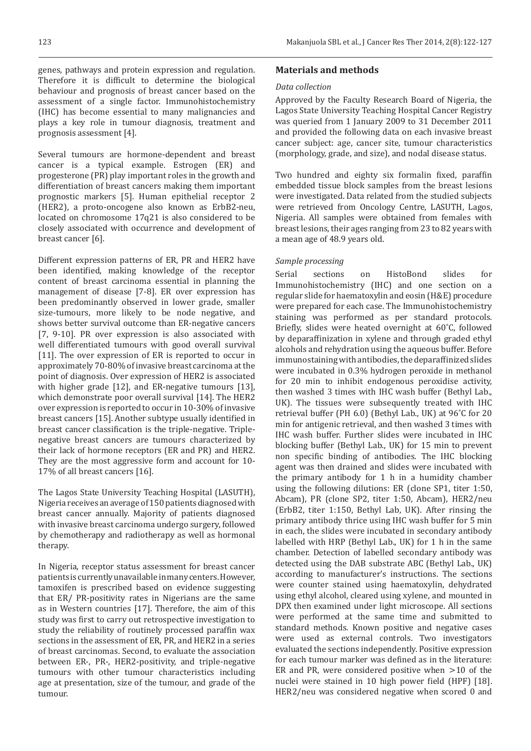genes, pathways and protein expression and regulation. Therefore it is difficult to determine the biological behaviour and prognosis of breast cancer based on the assessment of a single factor. Immunohistochemistry (IHC) has become essential to many malignancies and plays a key role in tumour diagnosis, treatment and prognosis assessment [4].

Several tumours are hormone-dependent and breast cancer is a typical example. Estrogen (ER) and progesterone (PR) play important roles in the growth and differentiation of breast cancers making them important prognostic markers [5]. Human epithelial receptor 2 (HER2), a proto-oncogene also known as ErbB2-neu, located on chromosome 17q21 is also considered to be closely associated with occurrence and development of breast cancer [6].

Different expression patterns of ER, PR and HER2 have been identified, making knowledge of the receptor content of breast carcinoma essential in planning the management of disease [7-8]. ER over expression has been predominantly observed in lower grade, smaller size-tumours, more likely to be node negative, and shows better survival outcome than ER-negative cancers [7, 9-10]. PR over expression is also associated with well differentiated tumours with good overall survival [11]. The over expression of ER is reported to occur in approximately 70-80% of invasive breast carcinoma at the point of diagnosis. Over expression of HER2 is associated with higher grade [12], and ER-negative tumours [13], which demonstrate poor overall survival [14]. The HER2 over expression is reported to occur in 10-30% of invasive breast cancers [15]. Another subtype usually identified in breast cancer classification is the triple-negative. Triplenegative breast cancers are tumours characterized by their lack of hormone receptors (ER and PR) and HER2. They are the most aggressive form and account for 10- 17% of all breast cancers [16].

The Lagos State University Teaching Hospital (LASUTH), Nigeria receives an average of 150 patients diagnosed with breast cancer annually. Majority of patients diagnosed with invasive breast carcinoma undergo surgery, followed by chemotherapy and radiotherapy as well as hormonal therapy.

In Nigeria, receptor status assessment for breast cancer patients is currently unavailable in many centers. However, tamoxifen is prescribed based on evidence suggesting that ER/ PR-positivity rates in Nigerians are the same as in Western countries [17]. Therefore, the aim of this study was first to carry out retrospective investigation to study the reliability of routinely processed paraffin wax sections in the assessment of ER, PR, and HER2 in a series of breast carcinomas. Second, to evaluate the association between ER-, PR-, HER2-positivity, and triple-negative tumours with other tumour characteristics including age at presentation, size of the tumour, and grade of the tumour.

#### **Materials and methods**

#### *Data collection*

Approved by the Faculty Research Board of Nigeria, the Lagos State University Teaching Hospital Cancer Registry was queried from 1 January 2009 to 31 December 2011 and provided the following data on each invasive breast cancer subject: age, cancer site, tumour characteristics (morphology, grade, and size), and nodal disease status.

Two hundred and eighty six formalin fixed, paraffin embedded tissue block samples from the breast lesions were investigated. Data related from the studied subjects were retrieved from Oncology Centre, LASUTH, Lagos, Nigeria. All samples were obtained from females with breast lesions, their ages ranging from 23 to 82 years with a mean age of 48.9 years old.

#### *Sample processing*

Serial sections on HistoBond slides for Immunohistochemistry (IHC) and one section on a regular slide for haematoxylin and eosin (H&E) procedure were prepared for each case. The Immunohistochemistry staining was performed as per standard protocols. Briefly, slides were heated overnight at 60˚C, followed by deparaffinization in xylene and through graded ethyl alcohols and rehydration using the aqueous buffer. Before immunostaining with antibodies, the deparaffinized slides were incubated in 0.3% hydrogen peroxide in methanol for 20 min to inhibit endogenous peroxidise activity, then washed 3 times with IHC wash buffer (Bethyl Lab., UK). The tissues were subsequently treated with IHC retrieval buffer (PH 6.0) (Bethyl Lab., UK) at 96˚C for 20 min for antigenic retrieval, and then washed 3 times with IHC wash buffer. Further slides were incubated in IHC blocking buffer (Bethyl Lab., UK) for 15 min to prevent non specific binding of antibodies. The IHC blocking agent was then drained and slides were incubated with the primary antibody for 1 h in a humidity chamber using the following dilutions: ER (clone SP1, titer 1:50, Abcam), PR (clone SP2, titer 1:50, Abcam), HER2/neu (ErbB2, titer 1:150, Bethyl Lab, UK). After rinsing the primary antibody thrice using IHC wash buffer for 5 min in each, the slides were incubated in secondary antibody labelled with HRP (Bethyl Lab., UK) for 1 h in the same chamber. Detection of labelled secondary antibody was detected using the DAB substrate ABC (Bethyl Lab., UK) according to manufacturer's instructions. The sections were counter stained using haematoxylin, dehydrated using ethyl alcohol, cleared using xylene, and mounted in DPX then examined under light microscope. All sections were performed at the same time and submitted to standard methods. Known positive and negative cases were used as external controls. Two investigators evaluated the sections independently. Positive expression for each tumour marker was defined as in the literature: ER and PR, were considered positive when  $>10$  of the nuclei were stained in 10 high power field (HPF) [18]. HER2/neu was considered negative when scored 0 and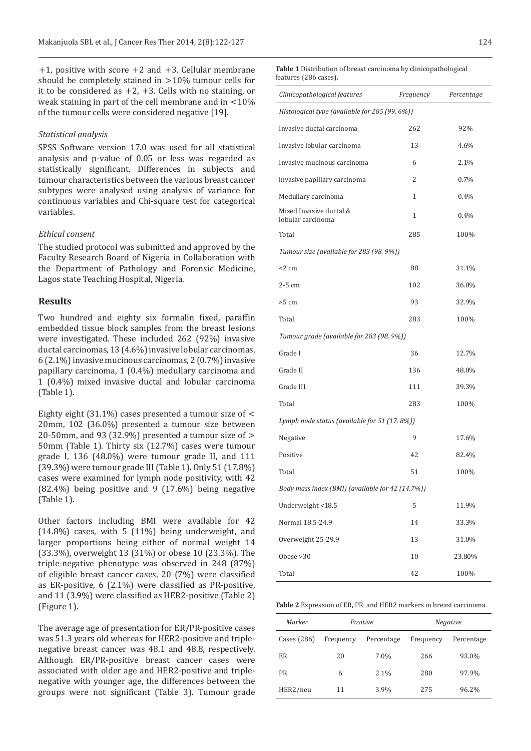$+1$ , positive with score  $+2$  and  $+3$ . Cellular membrane should be completely stained in  $>10\%$  tumour cells for it to be considered as  $+2$ ,  $+3$ . Cells with no staining, or weak staining in part of the cell membrane and in  $<$  10% of the tumour cells were considered negative [19].

#### *Statistical analysis*

SPSS Software version 17.0 was used for all statistical analysis and p-value of 0.05 or less was regarded as statistically significant. Differences in subjects and tumour characteristics between the various breast cancer subtypes were analysed using analysis of variance for continuous variables and Chi-square test for categorical variables.

#### *Ethical consent*

The studied protocol was submitted and approved by the Faculty Research Board of Nigeria in Collaboration with the Department of Pathology and Forensic Medicine, Lagos state Teaching Hospital, Nigeria.

### **Results**

Two hundred and eighty six formalin fixed, paraffin embedded tissue block samples from the breast lesions were investigated. These included 262 (92%) invasive ductal carcinomas, 13 (4.6%) invasive lobular carcinomas, 6 (2.1%) invasive mucinous carcinomas, 2 (0.7%) invasive papillary carcinoma, 1 (0.4%) medullary carcinoma and 1 (0.4%) mixed invasive ductal and lobular carcinoma (Table 1).

Eighty eight (31.1%) cases presented a tumour size of 20mm, 102 (36.0%) presented a tumour size between 20-50mm, and 93 (32.9%) presented a tumour size of  $>$ 50mm (Table 1). Thirty six (12.7%) cases were tumour grade I, 136 (48.0%) were tumour grade II, and 111 (39.3%) were tumour grade III (Table 1). Only 51 (17.8%) cases were examined for lymph node positivity, with 42 (82.4%) being positive and 9 (17.6%) being negative (Table 1).

Other factors including BMI were available for 42 (14.8%) cases, with 5 (11%) being underweight, and larger proportions being either of normal weight 14 (33.3%), overweight 13 (31%) or obese 10 (23.3%). The triple-negative phenotype was observed in 248 (87%) of eligible breast cancer cases, 20 (7%) were classified as ER-positive, 6 (2.1%) were classified as PR-positive, and 11 (3.9%) were classified as HER2-positive (Table 2) (Figure 1).

The average age of presentation for ER/PR-positive cases was 51.3 years old whereas for HER2-positive and triplenegative breast cancer was 48.1 and 48.8, respectively. Although ER/PR-positive breast cancer cases were associated with older age and HER2-positive and triplenegative with younger age, the differences between the groups were not significant (Table 3). Tumour grade **Table 1** Distribution of breast carcinoma by clinicopathological features (286 cases).

| Clinicopathological features                     | Frequency | Percentage |  |  |  |  |
|--------------------------------------------------|-----------|------------|--|--|--|--|
| Histological type (available for 285 (99. 6%))   |           |            |  |  |  |  |
| Invasive ductal carcinoma                        | 262       | 92%        |  |  |  |  |
| Invasive lobular carcinoma                       | 13        | 4.6%       |  |  |  |  |
| Invasive mucinous carcinoma                      | 6         | 2.1%       |  |  |  |  |
| invasive papillary carcinoma                     | 2         | 0.7%       |  |  |  |  |
| Medullary carcinoma                              | 1         | 0.4%       |  |  |  |  |
| Mixed Invasive ductal &<br>lobular carcinoma     | 1         | $0.4\%$    |  |  |  |  |
| Total                                            | 285       | 100%       |  |  |  |  |
| Tumour size (available for 283 (98. 9%))         |           |            |  |  |  |  |
| $<$ 2 cm                                         | 88        | 31.1%      |  |  |  |  |
| $2-5$ cm                                         | 102       | 36.0%      |  |  |  |  |
| $>5$ cm                                          | 93        | 32.9%      |  |  |  |  |
| Total                                            | 283       | 100%       |  |  |  |  |
| Tumour grade (available for 283 (98. 9%))        |           |            |  |  |  |  |
| Grade I                                          | 36        | 12.7%      |  |  |  |  |
| Grade II                                         | 136       | 48.0%      |  |  |  |  |
| Grade III                                        | 111       | 39.3%      |  |  |  |  |
| Total                                            | 283       | 100%       |  |  |  |  |
| Lymph node status (available for 51 (17.8%))     |           |            |  |  |  |  |
| Negative                                         | 9         | 17.6%      |  |  |  |  |
| Positive                                         | 42        | 82.4%      |  |  |  |  |
| Total                                            | 51        | 100%       |  |  |  |  |
| Body mass index (BMI) (available for 42 (14.7%)) |           |            |  |  |  |  |
| Underweight <18.5                                | 5         | 11.9%      |  |  |  |  |
| Normal 18.5-24.9                                 | 14        | 33.3%      |  |  |  |  |
| Overweight 25-29.9                               | 13        | 31.0%      |  |  |  |  |
| Obese $>30$                                      | 10        | 23.80%     |  |  |  |  |
| Total                                            | 42        | 100%       |  |  |  |  |

**Table 2** Expression of ER, PR, and HER2 markers in breast carcinoma.

| Marker        | Positive  |            | <b>Negative</b> |            |
|---------------|-----------|------------|-----------------|------------|
| Cases $(286)$ | Frequency | Percentage | Frequency       | Percentage |
| <b>ER</b>     | 20        | 7.0%       | 266             | 93.0%      |
| <b>PR</b>     | 6         | 2.1%       | 280             | 97.9%      |
| HER2/neu      | 11        | 3.9%       | 275             | 96.2%      |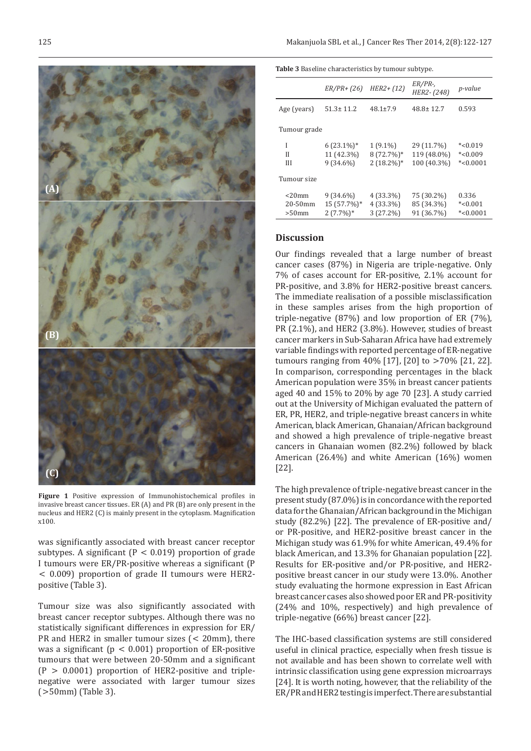

**Figure 1** Positive expression of Immunohistochemical profiles in invasive breast cancer tissues. ER (A) and PR (B) are only present in the nucleus and HER2 (C) is mainly present in the cytoplasm. Magnification x100.

was significantly associated with breast cancer receptor subtypes. A significant ( $P < 0.019$ ) proportion of grade I tumours were ER/PR-positive whereas a significant (P 0.009) proportion of grade II tumours were HER2 positive (Table 3).

Tumour size was also significantly associated with breast cancer receptor subtypes. Although there was no statistically significant differences in expression for ER/ PR and HER2 in smaller tumour sizes  $( $20 \text{mm}$ ), there$ was a significant ( $p < 0.001$ ) proportion of ER-positive tumours that were between 20-50mm and a significant  $(P > 0.0001)$  proportion of HER2-positive and triplenegative were associated with larger tumour sizes  $(>50mm)$  (Table 3).

**Table 3** Baseline characteristics by tumour subtype.

|                                    | $ER/PR + (26)$                            | $HER2 + (12)$                              | $ER/PR$ -,<br>HER2-(248)                 | p-value                              |  |  |
|------------------------------------|-------------------------------------------|--------------------------------------------|------------------------------------------|--------------------------------------|--|--|
| Age (years)                        | $51.3 \pm 11.2$                           | $48.1 \pm 7.9$                             | $48.8 \pm 12.7$                          | 0.593                                |  |  |
| Tumour grade                       |                                           |                                            |                                          |                                      |  |  |
| I<br>Н<br>Ш                        | $6(23.1\%)*$<br>11 (42.3%)<br>$9(34.6\%)$ | $1(9.1\%)$<br>$8(72.7\%)*$<br>$2(18.2\%)*$ | 29 (11.7%)<br>119 (48.0%)<br>100 (40.3%) | $*<0.019$<br>$*<0.009$<br>$*<0.0001$ |  |  |
| Tumour size                        |                                           |                                            |                                          |                                      |  |  |
| $<$ 20 $mm$<br>20-50mm<br>$>50$ mm | $9(34.6\%)$<br>15 (57.7%)*<br>$2(7.7\%)*$ | 4 (33.3%)<br>4 (33.3%)<br>$3(27.2\%)$      | 75 (30.2%)<br>85 (34.3%)<br>91 (36.7%)   | 0.336<br>$*<0.001$<br>$*<0.0001$     |  |  |

#### **Discussion**

Our findings revealed that a large number of breast cancer cases (87%) in Nigeria are triple-negative. Only 7% of cases account for ER-positive, 2.1% account for PR-positive, and 3.8% for HER2-positive breast cancers. The immediate realisation of a possible misclassification in these samples arises from the high proportion of triple-negative (87%) and low proportion of ER (7%), PR (2.1%), and HER2 (3.8%). However, studies of breast cancer markers in Sub-Saharan Africa have had extremely variable findings with reported percentage of ER-negative tumours ranging from  $40\%$  [17], [20] to  $>70\%$  [21, 22]. In comparison, corresponding percentages in the black American population were 35% in breast cancer patients aged 40 and 15% to 20% by age 70 [23]. A study carried out at the University of Michigan evaluated the pattern of ER, PR, HER2, and triple-negative breast cancers in white American, black American, Ghanaian/African background and showed a high prevalence of triple-negative breast cancers in Ghanaian women (82.2%) followed by black American (26.4%) and white American (16%) women [22].

The high prevalence of triple-negative breast cancer in the present study (87.0%) is in concordance with the reported data for the Ghanaian/African background in the Michigan study (82.2%) [22]. The prevalence of ER-positive and/ or PR-positive, and HER2-positive breast cancer in the Michigan study was 61.9% for white American, 49.4% for black American, and 13.3% for Ghanaian population [22]. Results for ER-positive and/or PR-positive, and HER2 positive breast cancer in our study were 13.0%. Another study evaluating the hormone expression in East African breast cancer cases also showed poor ER and PR-positivity (24% and 10%, respectively) and high prevalence of triple-negative (66%) breast cancer [22].

The IHC-based classification systems are still considered useful in clinical practice, especially when fresh tissue is not available and has been shown to correlate well with intrinsic classification using gene expression microarrays [24]. It is worth noting, however, that the reliability of the ER/PR and HER2 testing is imperfect. There are substantial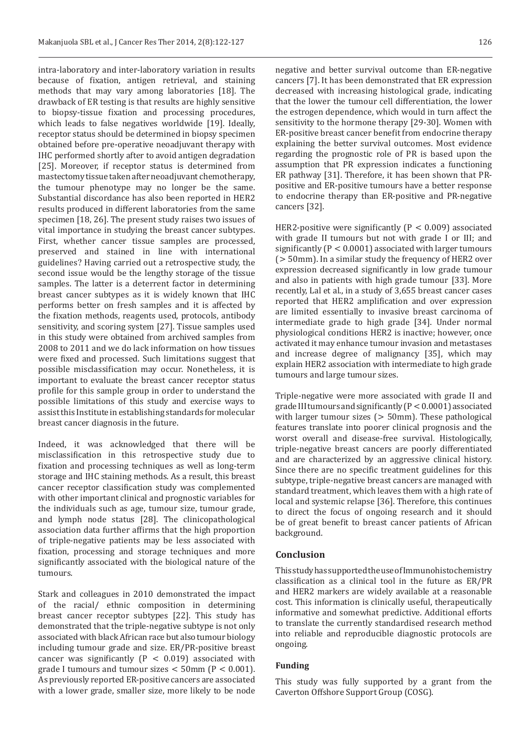intra-laboratory and inter-laboratory variation in results because of fixation, antigen retrieval, and staining methods that may vary among laboratories [18]. The drawback of ER testing is that results are highly sensitive to biopsy-tissue fixation and processing procedures, which leads to false negatives worldwide [19]. Ideally, receptor status should be determined in biopsy specimen obtained before pre-operative neoadjuvant therapy with IHC performed shortly after to avoid antigen degradation [25]. Moreover, if receptor status is determined from mastectomy tissue taken after neoadjuvant chemotherapy, the tumour phenotype may no longer be the same. Substantial discordance has also been reported in HER2 results produced in different laboratories from the same specimen [18, 26]. The present study raises two issues of vital importance in studying the breast cancer subtypes. First, whether cancer tissue samples are processed, preserved and stained in line with international guidelines? Having carried out a retrospective study, the second issue would be the lengthy storage of the tissue samples. The latter is a deterrent factor in determining breast cancer subtypes as it is widely known that IHC performs better on fresh samples and it is affected by the fixation methods, reagents used, protocols, antibody sensitivity, and scoring system [27]. Tissue samples used in this study were obtained from archived samples from 2008 to 2011 and we do lack information on how tissues were fixed and processed. Such limitations suggest that possible misclassification may occur. Nonetheless, it is important to evaluate the breast cancer receptor status profile for this sample group in order to understand the possible limitations of this study and exercise ways to assist this Institute in establishing standards for molecular breast cancer diagnosis in the future.

Indeed, it was acknowledged that there will be misclassification in this retrospective study due to fixation and processing techniques as well as long-term storage and IHC staining methods. As a result, this breast cancer receptor classification study was complemented with other important clinical and prognostic variables for the individuals such as age, tumour size, tumour grade, and lymph node status [28]. The clinicopathological association data further affirms that the high proportion of triple-negative patients may be less associated with fixation, processing and storage techniques and more significantly associated with the biological nature of the tumours.

Stark and colleagues in 2010 demonstrated the impact of the racial/ ethnic composition in determining breast cancer receptor subtypes [22]. This study has demonstrated that the triple-negative subtype is not only associated with black African race but also tumour biology including tumour grade and size. ER/PR-positive breast cancer was significantly  $(P < 0.019)$  associated with grade I tumours and tumour sizes  $<$  50mm (P  $<$  0.001). As previously reported ER-positive cancers are associated with a lower grade, smaller size, more likely to be node

negative and better survival outcome than ER-negative cancers [7]. It has been demonstrated that ER expression decreased with increasing histological grade, indicating that the lower the tumour cell differentiation, the lower the estrogen dependence, which would in turn affect the sensitivity to the hormone therapy [29-30]. Women with ER-positive breast cancer benefit from endocrine therapy explaining the better survival outcomes. Most evidence regarding the prognostic role of PR is based upon the assumption that PR expression indicates a functioning ER pathway [31]. Therefore, it has been shown that PRpositive and ER-positive tumours have a better response to endocrine therapy than ER-positive and PR-negative cancers [32].

HER2-positive were significantly ( $P < 0.009$ ) associated with grade II tumours but not with grade I or III; and significantly ( $P < 0.0001$ ) associated with larger tumours  $($  > 50mm). In a similar study the frequency of HER2 over expression decreased significantly in low grade tumour and also in patients with high grade tumour [33]. More recently, Lal et al., in a study of 3,655 breast cancer cases reported that HER2 amplification and over expression are limited essentially to invasive breast carcinoma of intermediate grade to high grade [34]. Under normal physiological conditions HER2 is inactive; however, once activated it may enhance tumour invasion and metastases and increase degree of malignancy [35], which may explain HER2 association with intermediate to high grade tumours and large tumour sizes.

Triple-negative were more associated with grade II and grade III tumours and significantly  $(P < 0.0001)$  associated with larger tumour sizes  $($  > 50mm). These pathological features translate into poorer clinical prognosis and the worst overall and disease-free survival. Histologically, triple-negative breast cancers are poorly differentiated and are characterized by an aggressive clinical history. Since there are no specific treatment guidelines for this subtype, triple-negative breast cancers are managed with standard treatment, which leaves them with a high rate of local and systemic relapse [36]. Therefore, this continues to direct the focus of ongoing research and it should be of great benefit to breast cancer patients of African background.

#### **Conclusion**

This study has supported the use of Immunohistochemistry classification as a clinical tool in the future as ER/PR and HER2 markers are widely available at a reasonable cost. This information is clinically useful, therapeutically informative and somewhat predictive. Additional efforts to translate the currently standardised research method into reliable and reproducible diagnostic protocols are ongoing.

#### **Funding**

This study was fully supported by a grant from the Caverton Offshore Support Group (COSG).